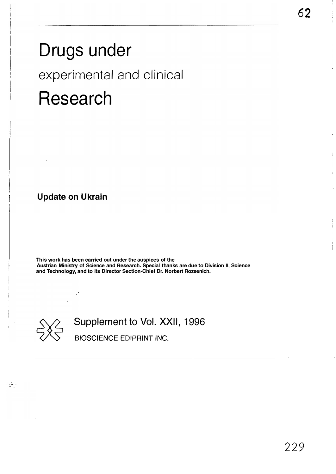# Drugs under experimental and clinical Research

Update on Ukrain

This work has been carried out under the auspices of the Austrian Ministry of Science and Research. Special thanks are due to Division II, Science and Technology, and to its Director Section-Chief Dr. Norbert Rozsenich.



reigi

Supplement to Vol. XXII, 1996

BIOSCIENCE EDIPRINT INC.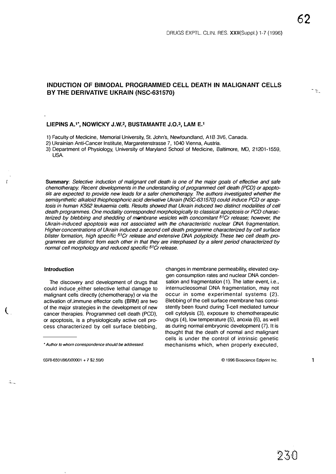$\sim$   $\sim$ 

## INDUCTION OF BIMODAL PROGRAMMED CEll DEATH IN MALIGNANT CEllS BY THE DERIVATIVE UKRAIN (NSC-631570)

## LIEPINS A.<sup>1\*</sup>, NOWICKY J.W.<sup>2</sup>, BUSTAMANTE J.O.<sup>3</sup>, LAM E.<sup>1</sup>

1) Faculty of Medicine. Memorial University. St. John's, Newfoundland. A 1B 3V6, Canada.

2) Ukrainian Anti-Cancer Institute, Margaretenstrasse 7, 1040 Vienna, Austria.

3) Department of Physiology, University of Maryland School of Medicine, Baltimore, MD, 21201-1559, USA.

Summary: Selective induction of malignant cell death is one of the major goals of effective and safe chemotherapy. Recent developments in the understanding of programmed cell death (PCD) or apoptosis are expected to provide new leads for a safer chemotherapy. The authors investigated whether the semisynthetic alkaloid thiophosphoric acid derivative Ukrain (NSC-631S70) could induce PCD or apoptosis in human KS62 leukaemia cells. Results showed that Ukrain induced two distinct modalities of cell death programmes. One modality corresponded morphologically to classical apoptosis or PCD characterized by blebbing and shedding of membrane vesicles with concomitant <sup>51</sup>Cr release; however, the Ukrain-induced apoptosis was not associated with the characteristic nuclear DNA fragmentation. Higher concentrations of Ukrain induced a second cell death programme characterized by cell surface blister formation, high specific <sup>51</sup>Cr release and extensive DNA polyploidy. These two cell death programmes are distinct from each other in that they are interphased by a silent period characterized by normal cell morphology and reduced specific 51Cr release.

## Introduction

The discovery and development of drugs that could induce. either selective lethal damage to malignant cells directly (chemotherapy) or via the activation of.immune effector cells (BRM) are two of the major strategies in the development of new t. cancer therapies. Programmed cell death (PCD), or apoptosis, is a physiologically active cell process characterized by cell surface blebbing,

0378-6501/96l000001 + 7 \$2.50/0

changes in membrane permeability, elevated oxygen consumption rates and nuclear DNA condensation and fragmentation (1). The latter event, i.e., internucleosomal DNA fragmentation, may not occur in some experimental systems (2). Blebbing of the cell surface membrane has consistently been found during T-cell mediated tumour cell cytolysis (3), exposure to chemotherapeutic drugs (4), low temperature (5), anoxia (6), as well as during normal embryonic development (7). It is thought that the death of normal and malignant cells is under the control of intrinsic genetic mechanisms which, when properly executed,

© 1996 Bioscience Ediprint Inc.

<sup>•</sup> Author to whom correspondence should be addressed.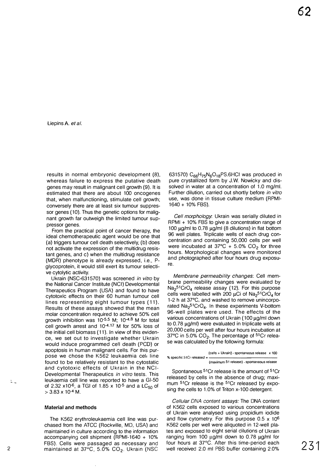Liepins A. et al.

results in normal embryonic development (8), whereas failure to express the putative death genes may result in malignant cell growth (9). It is estimated that there are about 100 oncogenes that, when malfunctioning. stimulate cell growth; conversely there are at least six tumour suppressor genes (10). Thus the genetic options for malignant growth far outweigh the limited tumour suppressor genes.

From the practical point of cancer therapy. the ideal chemotherapeutic agent would be one that (a) triggers tumour cell death selectively. (b) does not activate the expression of the multidrug resistant genes. and c) when the multidrug resistance (MDR) phenotype is already expressed. i.e., Pglycoprotein. it would still exert its tumour selective cytolytic activity.

Ukrain (NSC-631570) was screened in vitro by the National Cancer Institute (NCI) Developmental Therapeutics Program (USA) and found to have cytotoxic effects on their 60 human tumour cell lines representing eight tumour types (11). Results of these assays showed that the mean molar concentration required to achieve 50% cell growth inhibition was 10-5.5 M; 10.4.8 M for total cell growth arrest and 10-4.17 M for 50% loss of the initial cell biomass (11). In view of this evidence. we set out to investigate whether Ukrain would induce programmed cell death (PCD) or apoptosis in human malignant cells. For this purpose we chose the K562 leukaemia cell line found to be relatively resistant to the cytostatic and cytotoxic effects of Ukrain in the NCI-Developmental Therapeutics in vitro tests. This leukaemia cell line was reported to have a GI-50 of 2.32 x10<sup>-6</sup>, a TGI of 1.85 x 10<sup>-5</sup> and a LC<sub>50</sub> of  $>$  3.83 x 10<sup>-4</sup> M.

#### Material and methods

The K562 erythroleukaemia cell line was purchased from the ATCC (Rockville, MD, USA) and maintained in culture according to the information accompanying cell shipment (RPMI-1640 + 10% FBS). Cells were passaged as necessary and maintained at  $37^{\circ}$ C,  $5.0\%$  CO<sub>2</sub>. Ukrain (NSC FBS). Cells were passaged as necessary and tour hours at 37°C. Atter this time-period each 231°C. The maintained at 37°C, 5.0% CO<sub>2</sub>. Ukrain (NSC well received 2.0 ml PBS buffer containing 2.0% 2311

631570) C<sub>66</sub>H<sub>75</sub>N<sub>6</sub>O<sub>18</sub>PS.6HCI was produced in pure crystallized form by J.w. Nowicky and dissolved in water at a concentration of 1.0 mg/ml. Further dilution. carried out shortly before in vitro use, was done in tissue culture medium (RPMI-1640 + 10% FBS).

Cell morphology. Ukrain was serially diluted in RPMI + 10% FBS to give a concentration range of 100  $\mu$ g/ml to 0.78  $\mu$ g/ml (8 dilutions) in flat bottom 96 well plates. Triplicate wells of each drug concentration and containing 50.000 cells per well were incubated at  $37^{\circ}$ C + 5.0% CO<sub>2</sub> for three hours. Morphological changes were monitored and photographed after four hours drug exposure.

Membrane permeability Changes: Cell membrane permeability changes were evaluated by  $Na<sub>2</sub>51CrO<sub>4</sub>$  release assay (12). For this purpose cells were labelled with 200  $\mu$ Ci of Na<sub>2</sub>51CrO<sub>4</sub> for 1-2 h at 37°C. and washed to remove unincorporated  $Na<sub>2</sub>51CrO<sub>4</sub>$ . In these experiments V-bottom 96-well plates were used. The effects of the various concentrations of Ukrain (100 µg/ml down to 0.78  $\mu$ g/ml) were evaluated in triplicate wells at 20.000 cells per well after four hours incubation at 37 $^{\circ}$ C in 5.0% CO<sub>2</sub>. The percentage of  $^{51}$ Cr release was calculated by the following formula:



Spontaneous 51Cr release is the amount of 51Cr released by cells in the absence of drug; maximum <sup>51</sup>Cr release is the <sup>51</sup>Cr released by exposing the cells to 1.0% of Triton x-100 detergent.

Cellular DNA content assays: The DNA content of K562 cells exposed to various concentrations of Ukrain were analysed using propidium iodide and flow cytometry. For this purpose  $0.5 \times 10^6$ K562 cells per well were aliquoted in 12-well plates and exposed to eight serial dilutions of Ukrain ranging from 100  $\mu$ g/ml down to 0.78  $\mu$ g/ml for four hours at 37°C. After this time-period each

 $\mathbb{Z}$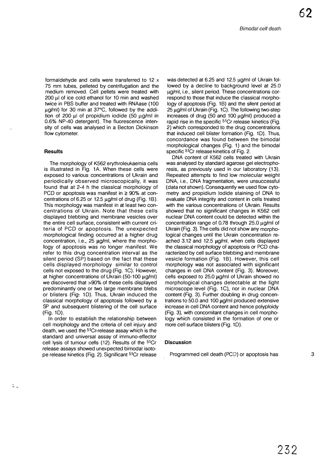62

formaldehyde and cells were transferred to 12 x 75 mm tubes. pelleted by centrifugation and the medium removed. Cell pellets were treated with  $200 \mu$ l of ice cold ethanol for 10 min and washed twice in PBS buffer and treated with RNAase (100 µg/ml) for 30 min at 37°C, followed by the addition of 200  $\mu$ I of propidium iodide (50  $\mu$ g/ml in 0.6% NP-40 detergent). The fluorescence intensity of cells was analysed in a Becton Dickinson flow cytometer.

## **Results**

 $\mathcal{Z}_{\infty}$ 

The morphology of K562 erythroleukaemia cells is illustrated in Fig. 1A. When these cells were exposed to various concentrations of Ukrain and periodically observed microscopically, it was found that at 2-4 h the classical morphology of PCD or apoptosis was manifest in  $\geq 90\%$  at concentrations of 6.25 or 12.5  $\mu$ g/ml of drug (Fig. 1B). This morphology was manifest in at least two concentrations of Ukrain. Note that these cells displayed blebbing and membrane vesicles over the entire cell surface. consistent with current criteria of PCD or apoptosis. The unexpected morphological finding occurred at a higher drug concentration, i.e.,  $25 \mu g/ml$ , where the morphology of apoptosis was no longer manifest. We refer to this drug concentration interval as the silent period (SP) based on the fact that these cells displayed morphology similar to control cells not exposed to the drug (Fig. 1C). However, at higher concentrations of Ukrain (50-100  $\mu$ g/ml) we discovered that >90% of these cells displayed predominantly one or two large membrane blebs or blisters (Fig. 1D). Thus, Ukrain induced the classical morphology of apoptosis followed by a SP and subsequent blistering of the cell surface (Fig. 10).

In order to establish the relationship between cell morphology and the criteria of cell injury and death. we used the 51Cr-release assay which is the standard and universal assay of immuno-effector cell lysis of tumour cells (12). Results of the 51Cr release assays showed unexpected bimodal isotope release kinetics (Fig. 2). Significant 51Cr release

was detected at 6.25 and 12.5  $\mu$ g/ml of Ukrain followed by a decline to background level at 25.0 ug/ml, i.e., silent period. These concentrations correspond to those that induce the classical morphology of apoptosis (Fig. 1B) and the silent period at  $25 \mu$ g/ml of Ukrain (Fig. 1C). The following two-step increases of drug (50 and 100  $\mu$ g/ml) produced a rapid rise in the specific <sup>51</sup>Cr release kinetics (Fig. 2) which corresponded to the drug concentrations that induced cell blister formation (Fig. 10). Thus, concordance was found between the bimodal morphological changes (Fig. 1) and the bimodal specific <sup>51</sup>Cr release kinetics of Fig. 2.

DNA content of K562 cells treated with Ukrain was analysed by standard agarose gel electrophoresis, as previously used in our laboratory (13). Repeated attempts to find low molecular weight DNA, i.e., DNA fragmentation, were unsuccessful (data not shown). Consequently we used flow cytometry and propidium iodide staining of DNA to evaluate DNA integrity and content in cells treated with the various concentrations of Ukrain. Results showed that no significant changes in K562 cell nuclear DNA content could be detected within the concentration range of 0.78 through 25.0 ug/ml of Ukrain (Fig. 3). The cells did not show any morphological changes until the Ukrain concentration reached 3.12 and 12.5  $\mu$ g/ml, when cells displayed the classical morphology of apoptosis or PCD characterized by cell surface blebbing and membrane vesicle formation (Fig. 1B). However, this cell morphology was not associated with significant changes in cell DNA content (Fig. 3). Moreover, cells exposed to  $25.0 \mu g/ml$  of Ukrain showed no morphological changes detectable at the light microscope level (Fig. 1C), nor in nuclear DNA content (Fig. 3). Further doubling in drug concentrations to 50.0 and 100  $\mu$ g/ml produced extensive increase in cell DNA content and hence polyploidy (Fig. 3), with concomitant changes in cell morphology which consisted in the formation of one or more cell surface blisters (Fig. 10).

## **Discussion**

Programmed cell death (PCD) or apoptosis has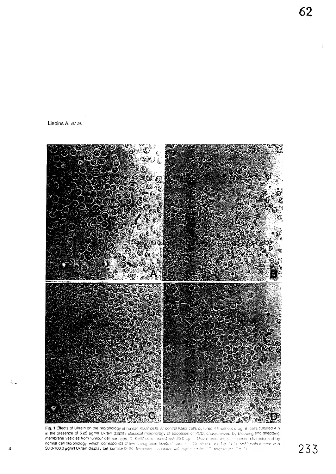Liepins A. et a/.

 $\mathbb{Z}_{\geq 0}$ 



Fig. 1 Effects of Ukrain on the morphology of human K562 cells. At control K562 cells cultured 4 h witnout drug, B cells cultured 4 h in the presence of 6.25 µg/ml Ukrain display classical morphology of apoptosis or PCD, characterized by bleeping and shedding membrane vesicles from tumour eel: normal cell morphology. which corresponds :0  $4$  50.0-100.0  $\mu$ g/ml Ukrain display cell surface blister

62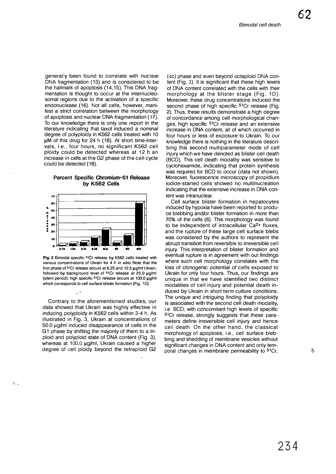62

generally been found to correlate with nuclear DNA fragmentation (13) and is considered to be the hallmark of apoptosis (14,15). This DNA fragmentation is thought to occur at the internucleosomal regions due to the activation of a specific endonuclease (16). Not all cells, however, manifest a strict correlation between the morphology of apoptosis and nuclear DNA fragmentation (17). To our knowledge there is only one report in the literature indicating that taxol induced a nominal degree of polyploidy in K562 cells treated with 10  $\mu$ M of this drug for 24 h (18). At short time-intervals, i.e., four hours, no significant K562 cell ploidy could be detected whereas at 12 h an increase in cells at the G2 phase of the cell cycle could be detected (18).

## Percent Specific Chromium-51 Release by K562 Cells



Fig. 2 Bimodal specific 5'Cr release by K562 cells treated with various concentrations of Ukrain for 4 h in vitro. Note that the first phase of  $5^{\circ}$ Cr release occurs at 6.25 and 12.5  $\mu$ g/ml Ukrain, followed by background level of  $51Cr$  release at 25.0  $\mu$ g/ml (silent period); high specific  $5^{\circ}$ Cr release occurs at  $100.0 \mu q$ /ml which corresponds to cell surface blister formation (Fig. 1D).

 $\ddot{\phantom{1}}$ 

 $\ddot{ }$ .

Contrary to the aforementioned studies, our data showed that Ukrain was highly effective in inducing polyploidy in K562 cells within 3-4 h. As illustrated in Fig. 3, Ukrain at concentrations of  $50.0 \mu g/m$  induced disappearance of cells in the G 1 phase by shifting the majority of them to a triploid and polyploid state of DNA content (Fig. 3), whereas at 100.0 µg/ml, Ukrain caused a higher degree of cell ploidy beyond the tetraploid G2

(4c) phase and even beyond octaploid DNA content (Fig. 3). It is significant that these high levels of DNA content correlated with the cells with their morphology at the blister stage (Fig. 1D). Moreover. these drug concentrations induced the second phase of high specific <sup>51</sup>Cr release (Fig. 2). Thus, these results demonstrate a high degree of concordance among cell morphological changes, high specific 51Cr release and an extensive increase in DNA content, all of which occurred in four hours or less of exposure to Ukrain. To our knowledge there is nothing in the literature describing this second multiparameter mode of cell injury which we have denoted as blister cell death (BCD). This cell death modality was sensitive to cyclohexamide. indicating that protein synthesis was required for BCD to occur (data not shown). Moreover. fluorescence microscopy of propidium iodide-stained cells showed no multinucleation indicating that the extensive increase in DNA content was intranuclear.

Cell surface blister formation in hepatocytes induced by hypoxia have been reported to produce blebbing and/or blister formation in more than 70% of the cells (6). This morphology was found to be independent of intracellular Ca2+ fluxes, and the rupture of these large cell surface blebs was considered by the authors to represent the abrupt transition from reversible to irreversible cell injury. This interpretation of blister formation and eventual rupture is in agreement with out findings where such cell morphology correlates with the loss of clonogenic potential of cells exposed to Ukrain for only four hours. Thus, our findings are unique in that we have identified two distinct modalities of cell injury and potential death induced by Ukrain in short term culture conditions. The unique and intriguing finding that polyploidy is associated with the second cell death modality, i.e. BCD, with concomitant high levels of specific 51Cr release, strongly suggests that these parameters define irreversible cell injury and hence cell death. On the other hand, the classical morphology of apoptosis, i.e., cell surface blebbing and shedding of membrane vesicles without significant changes in DNA content and only temporal changes in membrane permeability to <sup>51</sup>Cr, 5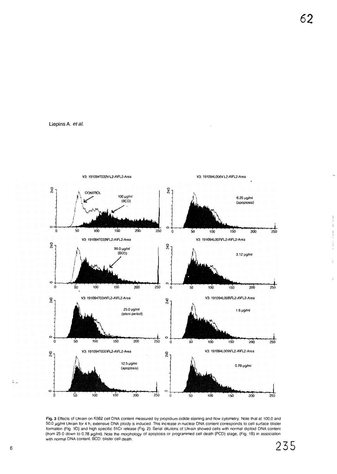



Fig. 3 Effects of Ukrain on K562 cell DNA content measured by propidium iodide staining and flow cytometry. Note that at 100.0 and 50.0 ).Iglml Ukrain for 4 h, extensive DNA ploidy is induced. This increase in nuclear DNA conlent corresponds to cell surface blister formation (Fig. 1D) and high specific 51Cr release (Fig. 2). Serial dilutions of Ukrain showed cells with normal diploid DNA content (tram 25.0 down to 0.78).1g/ml). Note Ihe morphology of apoptosis or programmed cell death (PCD) stage, (Fig. 1B) in association with normal DNA content. BCD: blister cell death.

 $\ddot{\ddot{}}$  .